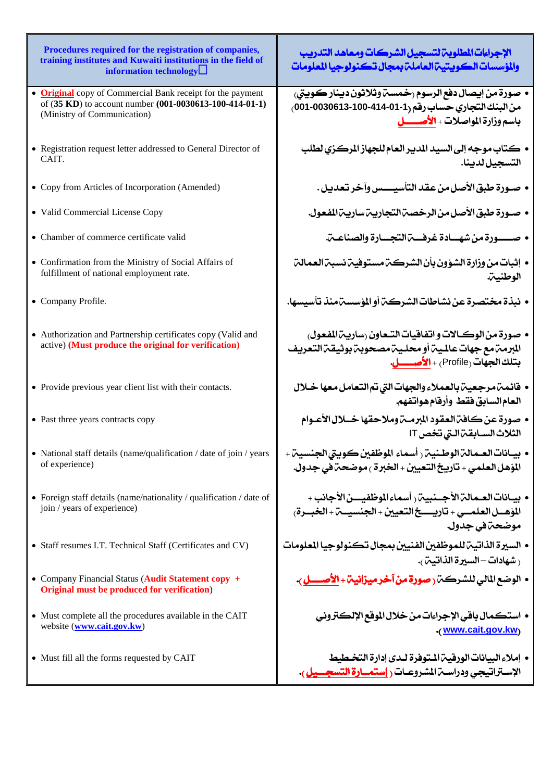| Procedures required for the registration of companies,<br>training institutes and Kuwaiti institutions in the field of<br>information technology            | الإجراءات المطلوبة لتسجيل الشركات ومعاهد التدريب<br>والمؤسسات الكويتين العاملن بمجال تكنولوجيا المعلومات                                                                 |
|-------------------------------------------------------------------------------------------------------------------------------------------------------------|--------------------------------------------------------------------------------------------------------------------------------------------------------------------------|
| • <b>Original</b> copy of Commercial Bank receipt for the payment<br>of (35 KD) to account number (001-0030613-100-414-01-1)<br>(Ministry of Communication) | • صورة من إيصال دفع الرسوم رخمسة وثلاثون دينار كويتي،<br>من البنك التجاري حساب رقم (1-01-414-100 0030613-001 )<br>باسم وزارة المواصلات + الأصــــــــل                   |
| • Registration request letter addressed to General Director of<br>CAIT.                                                                                     | • كتاب موجه إلى السيد المدير العام للجهاز المركزي لطلب<br>التسجيل لدينا.                                                                                                 |
| • Copy from Articles of Incorporation (Amended)                                                                                                             | • صـورة طبق الأصل من عقد التأسيــــس وآخر تعديل .                                                                                                                        |
| • Valid Commercial License Copy                                                                                                                             | • صـورة طبق الأصل من الرخصـة التجاريـة ساريـة المفعول.                                                                                                                   |
| • Chamber of commerce certificate valid                                                                                                                     | • صـــورة من شهــادة غرفــــة التجـــارة والصناعــة.                                                                                                                     |
| • Confirmation from the Ministry of Social Affairs of<br>fulfillment of national employment rate.                                                           | • إثبات من وزارة الشؤون بأن الشركة مستوفية نسبة العمالة<br>الوطنيب.                                                                                                      |
| • Company Profile.                                                                                                                                          | • نبذة مختصرة عن نشاطات الشركة أو المؤسسة منذ تأسيسها.                                                                                                                   |
| • Authorization and Partnership certificates copy (Valid and<br>active) (Must produce the original for verification)                                        | • صورة من الوكالات و اتفاقيات التـعاون رساريـة المفعول،<br>المرمهتمع جهات عالمية أومحلية مصحوبة بوثيقة التعريف<br>بتلك الجهات (Profile <sub>)</sub> + <b>الأصـــــل.</b> |
| • Provide previous year client list with their contacts.                                                                                                    | • فائمت مرجعيت بالعملاء والجهات التي تم التعامل معها خلال<br>العام السابق فقط وأرقام هواتفهم.                                                                            |
| • Past three years contracts copy                                                                                                                           | الثلاث السـابقة الـتي تخص IT                                                                                                                                             |
| • National staff details (name/qualification / date of join / years<br>of experience)                                                                       | • بيـانات العـمالـم الوطـنيـم ( أسماء الموظفين كـوبـتي الجنسيـم +<br>المؤهل العلمي + تاريخ التعيين + الخبرة ، موضحـة في جدول.                                            |
| • Foreign staff details (name/nationality / qualification / date of<br>join / years of experience)                                                          | • بيـانات العـمالـمّالأجــنبيـمّ ( أسماء الموظفيـــن الأجانب +<br>المؤهــل العلمــي + تاريــــخ التعيين + الجنسيــة + الخبــرة،<br>موضحةفي جدول.                         |
| • Staff resumes I.T. Technical Staff (Certificates and CV)                                                                                                  | • السيرة الذاتية للموظفين الفنيين بمجال تكنولوجيا المعلومات<br>رشهادات—السيرة الذاتيب <i>ن.</i>                                                                          |
| • Company Financial Status (Audit Statement copy +<br>Original must be produced for verification)                                                           |                                                                                                                                                                          |
| • Must complete all the procedures available in the CAIT<br>website (www.cait.gov.kw)                                                                       | • استكمال باقي الإجراءات من خلال الموقع الإلكتروني<br>(www.cait.gov.kw)                                                                                                  |
| • Must fill all the forms requested by CAIT                                                                                                                 | • إملاءِ البيانات الورقيـم المـتوفرة لـدى إدارة التخـطيط                                                                                                                 |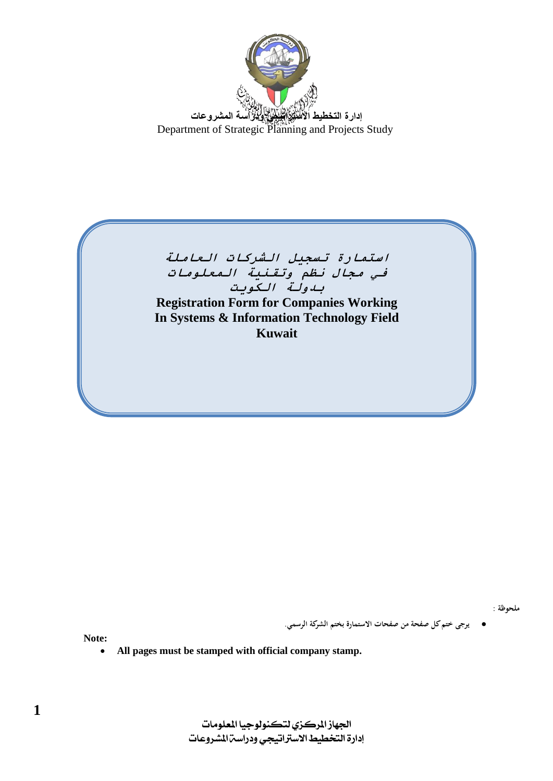



**ملحوظة :** 

**يرجى ختم كل صفحة من صفحات االستمارة بختم الشركة الرسمي.**

**Note:**

**All pages must be stamped with official company stamp.**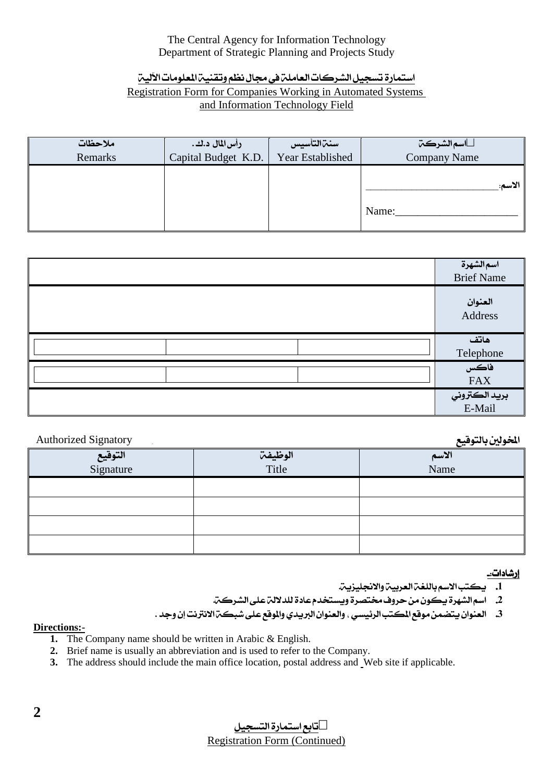## The Central Agency for Information Technology Department of Strategic Planning and Projects Study

## استمارة تسجيل الشركات العاملة في مجال نظم وتقنية المعلومات الألية **Registration Form for Companies Working in Automated Systems** and Information Technology Field

| ملاحظات | رأس لمال د.ك.       | سنتزالتأسيس      | اسمالشركت           |
|---------|---------------------|------------------|---------------------|
| Remarks | Capital Budget K.D. | Year Established | <b>Company Name</b> |
|         |                     |                  | الاسم:<br>Name:     |

| اسمالشهرة<br><b>Brief Name</b>  |
|---------------------------------|
| العنوان<br>Address              |
| هاتف                            |
| Telephone<br>فاکس<br><b>FAX</b> |
| بريد الكتروني<br>E-Mail         |

### المخولين بالتوقيع

| <b>Authorized Signatory</b> |         | الخولين بالتوقيع |
|-----------------------------|---------|------------------|
| التوقيع                     | الوظيفة | الاسم            |
| Signature                   | Title   | Name             |
|                             |         |                  |
|                             |         |                  |
|                             |         |                  |
|                             |         |                  |

### <u>ار</u>شادات:۔

- 1. يكتب الاسم باللغة العربية والانجليزية.
- 2. اسم الشهرة يكون من حروف مختصرة ويستخدم عادة للدلالة على الشركة.
- 3. العنوان يتضمن موقع المكتب الرئيسي ، والعنوان البريدي والموقع على شبكت الانترنت إن وجد .

#### **Directions:-**

- 1. The Company name should be written in Arabic & English.
- 2. Brief name is usually an abbreviation and is used to refer to the Company.
- 3. The address should include the main office location, postal address and Web site if applicable.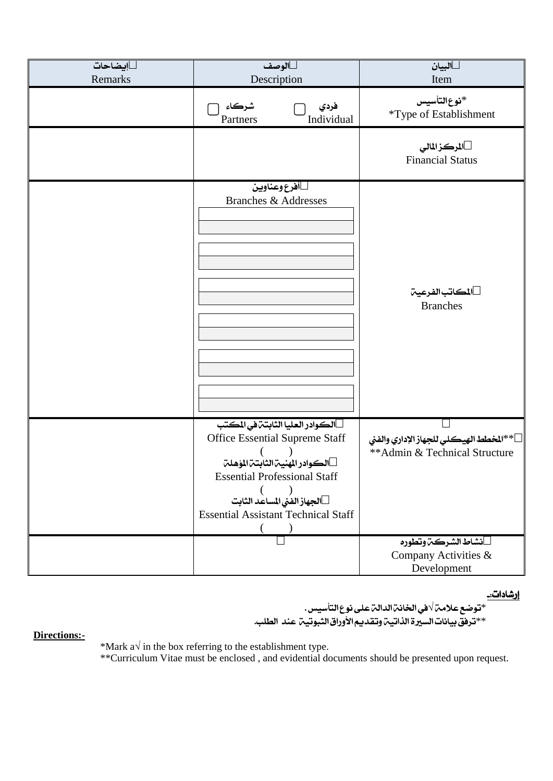| إيضاحات<br>Remarks | الوصف<br>Description                                                                                                                                                                                                     | البيان<br>Item                                                          |
|--------------------|--------------------------------------------------------------------------------------------------------------------------------------------------------------------------------------------------------------------------|-------------------------------------------------------------------------|
|                    | شركاء<br>فردي<br>Individual<br>Partners                                                                                                                                                                                  | *نوع التأسيس<br>*Type of Establishment                                  |
|                    |                                                                                                                                                                                                                          | المركز المالي<br><b>Financial Status</b>                                |
|                    | أفرع وعناوين<br><b>Branches &amp; Addresses</b>                                                                                                                                                                          | المكاتب الفرعين<br><b>Branches</b>                                      |
|                    | الكوادر العليا الثابتة في المكتب<br>Office Essential Supreme Staff<br>الكوادر المنية الثابتة المؤهلة<br><b>Essential Professional Staff</b><br>الجهاز الفني المساعد الثابت<br><b>Essential Assistant Technical Staff</b> | **المخطط الهيكلي للجهاز الإداري والفني<br>**Admin & Technical Structure |
|                    |                                                                                                                                                                                                                          | نشاط الشركت وتطوره<br>Company Activities &<br>Development               |

<u>إرشادات: </u>

\*توضع علامت √في الخانن الدالن على نوع التأسيس . \*\*ترفق بيانات السيرة الذاتيـة وتقديـم الأوراق الثبوتيـة عند الطلب.

**Directions:-**

\*Mark a $\sqrt{ }$  in the box referring to the establishment type. \*\*Curriculum Vitae must be enclosed , and evidential documents should be presented upon request.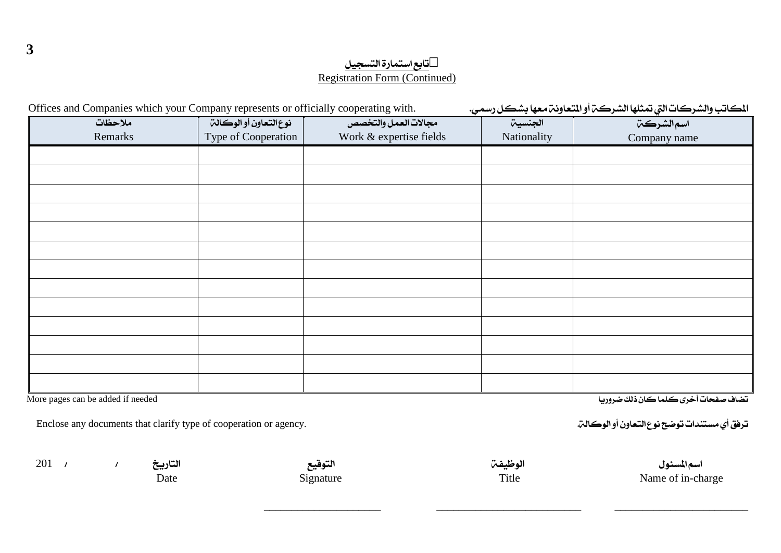المكاتب والشركات التي تمثلها الشركت أو المتعاونت معها بشكل رسمي. Offices and Companies which your Company represents or officially cooperating with. الجنسية ملاحظات نوع التعاون أو الوكالة مجالات العمل والتخصص اسم الشركت<sub>ا</sub> Remarks Type of Cooperation Work & expertise fields Nationality Company name

More pages can be added if needed

 $\mathcal{L}$ 

Enclose any documents that clarify type of cooperation or agency.

 $201 /$ 

3

التاريخ Date

التوقيع Signature الوظيفتن Title

اسم المسئول Name of in-charge

تضاف صفحات أخرى كلما كان ذلك ضروريا

ترفق أي مستندات توضح نوع التعاون أو الوكالة.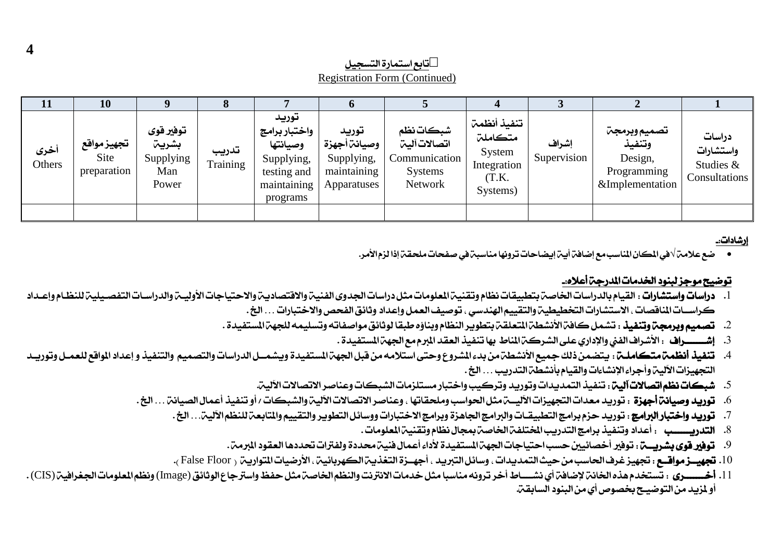تابع استمارة التسحيل Registration Form (Continued)

| <b>11</b>      | 10                                |                                                 |                   |                                                                                            |                                                                   |                                                                                 |                                                                      |                      |                                                                     |                                                   |
|----------------|-----------------------------------|-------------------------------------------------|-------------------|--------------------------------------------------------------------------------------------|-------------------------------------------------------------------|---------------------------------------------------------------------------------|----------------------------------------------------------------------|----------------------|---------------------------------------------------------------------|---------------------------------------------------|
| أخرى<br>Others | تجهيزمواقع<br>Site<br>preparation | توفير قوى<br>بشريت<br>Supplying<br>Man<br>Power | تدريب<br>Training | توريد<br>واختبار برامج<br>وصيانتها<br>Supplying,<br>testing and<br>maintaining<br>programs | توريد<br>وصيانة أجهزة<br>Supplying,<br>maintaining<br>Apparatuses | شبكات نظم<br>اتصالات آلبتن<br>Communication<br><b>Systems</b><br><b>Network</b> | تنفيذ أنظمت<br>متكاملت<br>System<br>Integration<br>(T.K.<br>Systems) | إشراف<br>Supervision | تصميم وبرمجن<br>وتنفيذ<br>Design,<br>Programming<br>&Implementation | دراسات<br>واستشارات<br>Studies &<br>Consultations |
|                |                                   |                                                 |                   |                                                                                            |                                                                   |                                                                                 |                                                                      |                      |                                                                     |                                                   |

إرشادات:۔

● ضع علامن √في المكان المناسب مع إضافن أين إيضاحات ترونها مناسبن في صفحات ملحقن إذا لزم الأمر.

### توضيح موجز لبنود الخدمات المدرجِم أعلاه..

- ا. دراسات واستشارات : القيام بالدراسات الخاصن بتطبيقات نظام وتقنين المعلومات مثل دراسات الجدوى الفنين والاهتصادين والاحتياجات الأوليـن والدراسـات التفصـيلين للنظـام وإعـداد كراســات المناقصات ، الاستشارات التخطيطيـن والتقييم الهندسي ، توصيف العمل وإعداد وثائق الفحص والاختبارات . . . الخ .
	- 2. تصميم وبرمجمّ وتنفيذ : تشمل كافمّ الأنشطمّ المتعلقمّ بتطوير النظام وبناؤه طبقا لوثائق مواصفاته وتسليمه للجهمّ المستفيدة .
		- 3. إشــــــــــراف : الأشراف الفني والإداري على الشركــت المناط بها تنفيذ العقد المبرم مع الجهت المستفيدة .
- 4. تنفيذ أنظمت متكاملـة : يتضمن ذلك جميع الأنشطة من بدءالشروع وحتى استلامه من قبل الجهة المستفيدة ويشمــل الدراسات والتصميم والتنفيذ و إعداد المواقع للعمـل وتوريـد التجهيزات الآلية وأجراء الإنشاءات والقيام بأنشطة التدريب . . . الخ .
	- 5. شبكات نظم اتصالات آلين: تنفيذ التمديدات وتوريد وتركيب واختبار مستلزمات الشبكات وعناصر الاتصالات الألين.
	- 6. **توريد وصيانة أجهزة** : توريد معدات التجهيزات الأليسة مثل الحواسب وملحقاتها ، وعناصر الاتصالات الألية والشبكات / أو تنفيذ أعمال الصيانة . . . الخ .
		- 7. توريد واختبار البرامج : توريد حزم برامج التطبيقـات والبرامج الحاهزة وبرامج الاختبارات ووسائل التطوير والتقييم والمتابعة للنظم الألية. . . الخ .
			- 8. التدريســــب : أعداد وتنفيذ برامج التدريب المختلفـة الخاصـة بمجال نظام وتقنيـة الملومات .
			- 9. **توفير قوي بشريبــت:** : توفير أخصائيين حسب احتياجات الجهت المستفيدة لأداء أعمال فنيت محددة ولفترات تحددها العقود المرمت.
		- 10. تجهيــزمواقــع : تجهيز غرف الحاسب من حيث التمديدات ، وسائل التبريد ، أجهــزة التغذيـب الكهربائيـب ، الأرضيات التواريب ( False Floor ).
- 11. أخـــــــري : تستخدم هذه الخانن لإضافن أي نشــــاط أخر ترونه مناسبا مثل خدمات الانترنت والنظم الخاصن مثل حفظ واسترجاع الوثائق (Image) ونظم الملومات الجغرافين (CIS). أَو لِمَزِيدِ مِنَ التَّوْضِيح بِخصوص أي مِن البِنود السابقيّ.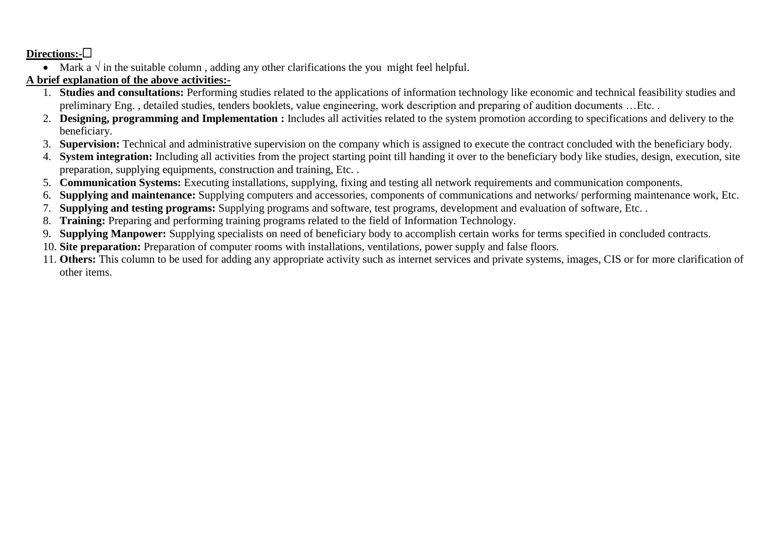### **Directions:-**

• Mark a  $\sqrt{ }$  in the suitable column, adding any other clarifications the you might feel helpful.

# **A brief explanation of the above activities:-**

- 1. **Studies and consultations:** Performing studies related to the applications of information technology like economic and technical feasibility studies and preliminary Eng. , detailed studies, tenders booklets, value engineering, work description and preparing of audition documents …Etc. .
- 2. **Designing, programming and Implementation :** Includes all activities related to the system promotion according to specifications and delivery to the beneficiary.
- 3. **Supervision:** Technical and administrative supervision on the company which is assigned to execute the contract concluded with the beneficiary body.
- 4. **System integration:** Including all activities from the project starting point till handing it over to the beneficiary body like studies, design, execution, site preparation, supplying equipments, construction and training, Etc. .
- 5. **Communication Systems:** Executing installations, supplying, fixing and testing all network requirements and communication components.
- 6. **Supplying and maintenance:** Supplying computers and accessories, components of communications and networks/ performing maintenance work, Etc.
- 7. **Supplying and testing programs:** Supplying programs and software, test programs, development and evaluation of software, Etc. .
- 8. **Training:** Preparing and performing training programs related to the field of Information Technology.
- 9. **Supplying Manpower:** Supplying specialists on need of beneficiary body to accomplish certain works for terms specified in concluded contracts.
- 10. **Site preparation:** Preparation of computer rooms with installations, ventilations, power supply and false floors.
- 11. **Others:** This column to be used for adding any appropriate activity such as internet services and private systems, images, CIS or for more clarification of other items.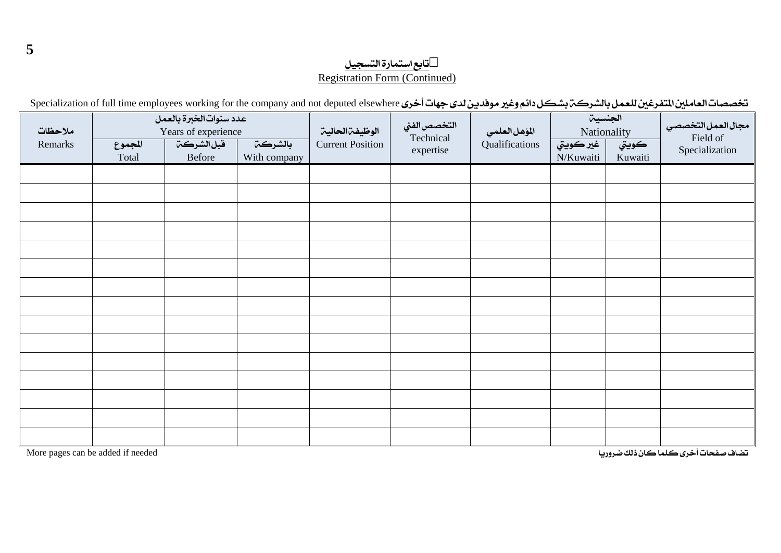تخصصات العاملين المتفرغين للعمل بالشركم بشكل دائم وغير موفدين لدى جهات أخرى Specialization of full time employees working for the company and not deputed elsewhere

| ملاحظات |                  | عدد سنوات الخبرة بالعمل<br>Years of experience |                         | التخصص الفني<br>الوظيفةالحالية<br>المؤهل العلمي |                        | الجنسية<br>Nationality                                              |  | مجال العمل التخصصي         |  |
|---------|------------------|------------------------------------------------|-------------------------|-------------------------------------------------|------------------------|---------------------------------------------------------------------|--|----------------------------|--|
| Remarks | المجموع<br>Total | قبل الشركة<br>Before                           | بالشركت<br>With company | <b>Current Position</b>                         | Technical<br>expertise | Qualifications<br><u>غير ڪويتي</u><br>كويتي<br>N/Kuwaiti<br>Kuwaiti |  | Field of<br>Specialization |  |
|         |                  |                                                |                         |                                                 |                        |                                                                     |  |                            |  |
|         |                  |                                                |                         |                                                 |                        |                                                                     |  |                            |  |
|         |                  |                                                |                         |                                                 |                        |                                                                     |  |                            |  |
|         |                  |                                                |                         |                                                 |                        |                                                                     |  |                            |  |
|         |                  |                                                |                         |                                                 |                        |                                                                     |  |                            |  |
|         |                  |                                                |                         |                                                 |                        |                                                                     |  |                            |  |
|         |                  |                                                |                         |                                                 |                        |                                                                     |  |                            |  |
|         |                  |                                                |                         |                                                 |                        |                                                                     |  |                            |  |
|         |                  |                                                |                         |                                                 |                        |                                                                     |  |                            |  |
|         |                  |                                                |                         |                                                 |                        |                                                                     |  |                            |  |
|         |                  |                                                |                         |                                                 |                        |                                                                     |  |                            |  |
|         |                  |                                                |                         |                                                 |                        |                                                                     |  |                            |  |
|         |                  |                                                |                         |                                                 |                        |                                                                     |  |                            |  |
|         |                  |                                                |                         |                                                 |                        |                                                                     |  |                            |  |
|         |                  |                                                |                         |                                                 |                        |                                                                     |  |                            |  |

تضاف صفحات أخرى كلما كان ذلك ضروريا للعدة العروب المستخدمة في المستخدمة في العروان العدة العروف من العدة العر<br>تضاف صفحات أخرى كلما كان ذلك ضروريا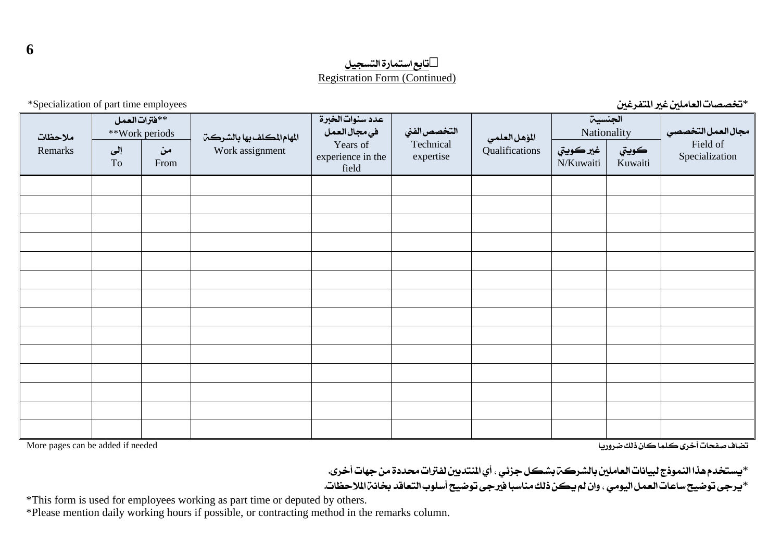\*تخصصات العاملين غير المتفرغين مستخدم التفرغين الملتفي الملتفي الملتفي الملتفي الملتفي التفرغين المستخدمات الع

مجالِ العملِ التخصصي Field of Specialization الحنسية الملهي Nationality **Qualifications** التخصص الفنى Technical expertise عدد سنوات الخبرة في مجال العمل Years of experience in the field المهام المكلف بها بالشركت Work assignment \*\*فترات العمل \*\*Work periods السعاتَ نٜٛيت Remarks Kuwaiti غير كويتي N/Kuwaiti َٔ From إىل To

تضاف صفحات أخرى كلما كان ذلك ضروريا للعروريا للعائن ذلك ضروريا للعروري المستخدم العروري ضمض العائز ذلك من العر

\*يستخدم هذا النموذج لبيانات العاملين بالشركت بشكل جزئي ، أي المنتدبين لفترات محددة من جهات أخرى. \*بيرجي توضيح ساعات العمل اليومي ، وان لم يكن ذلك مناسبا فيرجى توضيح أسلوب التعاقد بخانن الملاحظات.

\*This form is used for employees working as part time or deputed by others.

\*Please mention daily working hours if possible, or contracting method in the remarks column.

**6**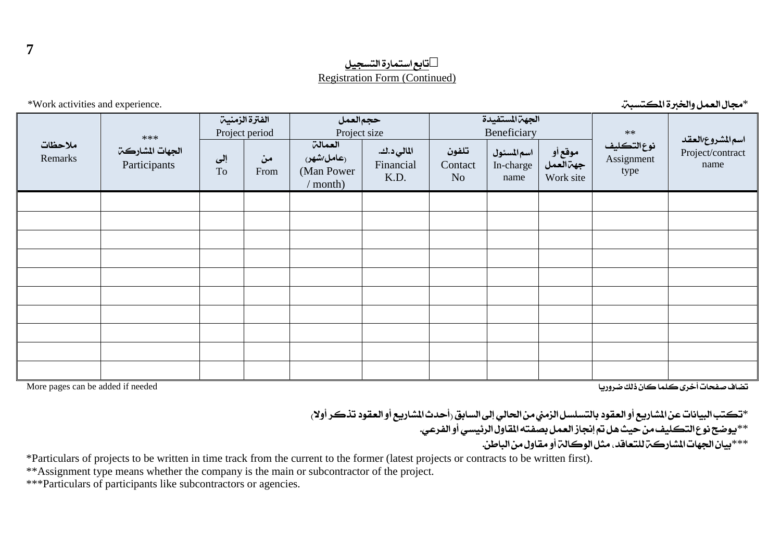\*صجال العمل والخبرة المستبتة. المسببت المسبب المسبب المسبب المسبب المسبب المسبب المسبب المسبب المسبب المسبب ال

|                                   | $***$                           | الفترة الزمنية<br>Project period |            |                                                    | حجم العمل<br>Project size        |                                    | الجهت المستفيدة<br>Beneficiary  |                                               |                                   |                                               |
|-----------------------------------|---------------------------------|----------------------------------|------------|----------------------------------------------------|----------------------------------|------------------------------------|---------------------------------|-----------------------------------------------|-----------------------------------|-----------------------------------------------|
| ملاحظات<br>Remarks                | الجهات المشاركت<br>Participants | إلى<br>To                        | من<br>From | العمالة<br>(عامل/شهر)<br>(Man Power)<br>$/$ month) | المالي د.ك.<br>Financial<br>K.D. | تلفون<br>Contact<br>N <sub>o</sub> | اسمالمسئول<br>In-charge<br>name | موقع أو<br>جه <sup>ا</sup> العمل<br>Work site | نوع التكليف<br>Assignment<br>type | اسم المشروع العقد<br>Project/contract<br>name |
|                                   |                                 |                                  |            |                                                    |                                  |                                    |                                 |                                               |                                   |                                               |
|                                   |                                 |                                  |            |                                                    |                                  |                                    |                                 |                                               |                                   |                                               |
|                                   |                                 |                                  |            |                                                    |                                  |                                    |                                 |                                               |                                   |                                               |
|                                   |                                 |                                  |            |                                                    |                                  |                                    |                                 |                                               |                                   |                                               |
|                                   |                                 |                                  |            |                                                    |                                  |                                    |                                 |                                               |                                   |                                               |
|                                   |                                 |                                  |            |                                                    |                                  |                                    |                                 |                                               |                                   |                                               |
|                                   |                                 |                                  |            |                                                    |                                  |                                    |                                 |                                               |                                   |                                               |
|                                   |                                 |                                  |            |                                                    |                                  |                                    |                                 |                                               |                                   |                                               |
|                                   |                                 |                                  |            |                                                    |                                  |                                    |                                 |                                               |                                   |                                               |
|                                   |                                 |                                  |            |                                                    |                                  |                                    |                                 |                                               |                                   |                                               |
| More pages can be added if needed |                                 |                                  |            |                                                    |                                  |                                    |                                 |                                               |                                   | تضاف صفحات أخرى كلما كان ذلك ضروريا           |

\*تكتب البيانات عن المشاريع أو العقود بالتسلسل الزمني من الحالي إلى السابق رأحدث المشاريع أو العقود تذكر أولا، \*\*بوضح نوع التكليف من حيث هل تم إنجاز العمل بصفته المقاول الرئيسي أو الفرعي. \*\*\*بيان الجهات المشاركين للتعاقد، مثل الوكالي أو مقاول من الباطن.

\*Particulars of projects to be written in time track from the current to the former (latest projects or contracts to be written first).

\*\*Assignment type means whether the company is the main or subcontractor of the project.

\*\*\*Particulars of participants like subcontractors or agencies.

**7**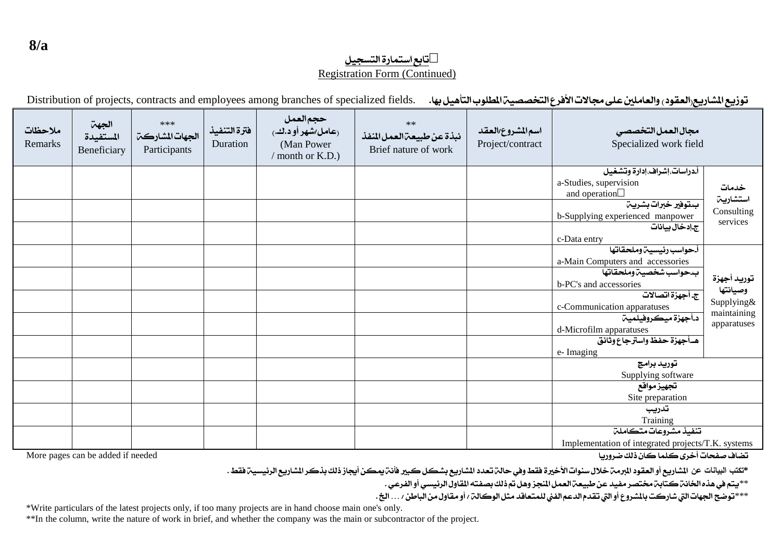توزيع الشاريع العقود والعاملين على مجالات الأفرع التخصصية المطلوب التأهيل بها. . . Distribution of projects, contracts and employees among branches of specialized fields

| ملاحظات<br>Remarks | الجهة<br>المستفيدة<br>Beneficiary | ***<br>الجهات المشاركت<br>Participants | فترة التنفيذ<br>Duration | حجم العمل<br>(عامل/شهر أو د.ك.)<br>(Man Power)<br>/ month or K.D.) | $**$<br>نبذة عن طبيعة العمل المنفذ<br>Brief nature of work | اسم المشروع العقد<br>Project/contract | مجال العمل التخصصى<br>Specialized work field                                                                                                                                                                                                                   |                                                                     |
|--------------------|-----------------------------------|----------------------------------------|--------------------------|--------------------------------------------------------------------|------------------------------------------------------------|---------------------------------------|----------------------------------------------------------------------------------------------------------------------------------------------------------------------------------------------------------------------------------------------------------------|---------------------------------------------------------------------|
|                    |                                   |                                        |                          |                                                                    |                                                            |                                       | أدراسات،إشراف،إدارة وتشغيل<br>a-Studies, supervision<br>and operation<br>بتوفير خبرات بشرين<br>b-Supplying experienced manpower<br>ج إدخال بيانات<br>c-Data entry                                                                                              | خدمات<br>استشاريت<br>Consulting<br>services                         |
|                    |                                   |                                        |                          |                                                                    |                                                            |                                       | أحواسب رئيسية وملحقاتها<br>a-Main Computers and accessories<br>بدحواسب شخصين وملحقاتها<br>b-PC's and accessories<br>ج أجهزة اتصالات<br>c-Communication apparatuses<br>دأجهزة ميكروفيلميت<br>d-Microfilm apparatuses<br>هـأجهزة حفظ واسترجاع وثائق<br>e-Imaging | توريد أجهزة<br>وصيانتها<br>Supplying&<br>maintaining<br>apparatuses |
|                    |                                   |                                        |                          |                                                                    |                                                            |                                       | توريد برامج<br>Supplying software<br>تجهيز مواقع<br>Site preparation                                                                                                                                                                                           |                                                                     |
|                    |                                   |                                        |                          |                                                                    |                                                            |                                       | تدريب<br>Training<br>تنفيذ مشروعات متكاملت<br>Implementation of integrated projects/T.K. systems                                                                                                                                                               |                                                                     |

تضاف صفحات أخرى كلما كان ذلك ضروريا

More pages can be added if needed

\*تكتب البيانات عن الشاريع أو العقود البرمن خلال سنوات الأخيرة فقط وفي حالن تعدد الشاريع بشكل كبير فأنن يمكن أيجاز ذلك بذكر الشاريع الرئيسين فقط .

\*\*يتم في هذه الخانن كتابن مختصر مفيد عن طبيعن العمل المجز وهل تم ذلك بصفته المقاول الرئيسي أو الفرعي .

\*\*\* توضح الجهات التي شاركت بالمشروع أو التي تقدم الدعم الفني للمتعاقد مثل الوكالتي ا أو مقاول من الباطن / ... الخ.

\*Write particulars of the latest projects only, if too many projects are in hand choose main one's only.

\*\*In the column, write the nature of work in brief, and whether the company was the main or subcontractor of the project.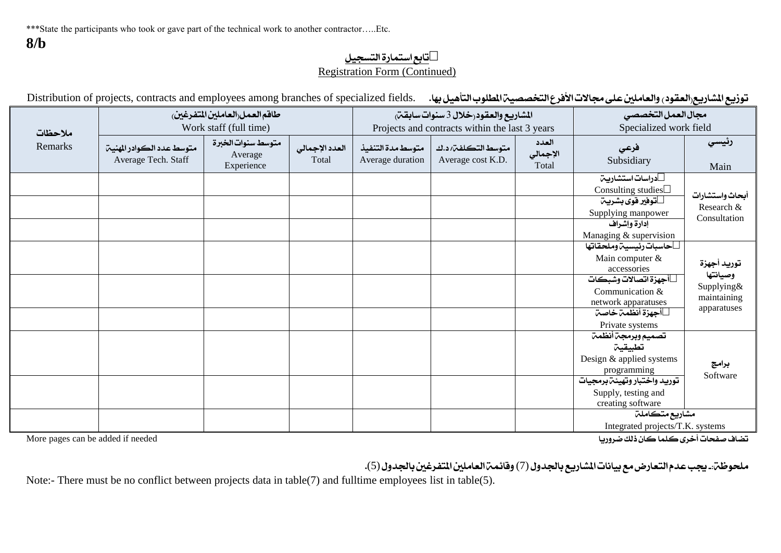توزيع المشاريع(العقود) والعاملين على مجالات الأفرع التخصصية المطلوب التأهيل بها. . .Distribution of projects, contracts and employees among branches of specialized fields

|         |                                                  | طاقم العمل العاملين المتفرغين               |                         |                                       | المشاريع والعقود رخلال 3 سنوات سابقتن          | مجال العمل التخصصي         |                                                                                                                                                                    |                                                                     |
|---------|--------------------------------------------------|---------------------------------------------|-------------------------|---------------------------------------|------------------------------------------------|----------------------------|--------------------------------------------------------------------------------------------------------------------------------------------------------------------|---------------------------------------------------------------------|
| ملاحظات |                                                  | Work staff (full time)                      |                         |                                       | Projects and contracts within the last 3 years |                            | Specialized work field                                                                                                                                             |                                                                     |
| Remarks | متوسط عدد الكوادر المهنين<br>Average Tech. Staff | متوسط سنوات الخبرة<br>Average<br>Experience | العدد الإجمالي<br>Total | متوسط مدة التنفيذ<br>Average duration | متوسط التكلفتى د.ك<br>Average cost K.D.        | العدد<br>الإجمالي<br>Total | فرعي<br>Subsidiary                                                                                                                                                 | رئيسي<br>Main                                                       |
|         |                                                  |                                             |                         |                                       |                                                |                            | دراسات استشاريت<br>Consulting studies<br>توفير قوى بشريت<br>Supplying manpower<br>إدارة وإشراف<br>Managing & supervision                                           | أبحاث واستشارات<br>Research &<br>Consultation                       |
|         |                                                  |                                             |                         |                                       |                                                |                            | حاسبات رئيسية وملحقاتها<br>Main computer &<br>accessories<br>أجهزة اتصالات وشبكات<br>Communication &<br>network apparatuses<br>أجهزة أنظمت خاصت<br>Private systems | توريد أجهزة<br>وصيانتها<br>Supplying&<br>maintaining<br>apparatuses |
|         |                                                  |                                             |                         |                                       |                                                |                            | تصميم وبرمجة أنظمة<br>تطبيقين<br>Design & applied systems<br>programming<br>توريد واختبار وتهيئة برمجيات<br>Supply, testing and<br>creating software               | برامج<br>Software                                                   |
|         |                                                  |                                             |                         |                                       |                                                |                            | مشاريع متكاملة<br>Integrated projects/T.K. systems                                                                                                                 |                                                                     |

تضاف صفحات أخرى كلما كان ذلك ضروريا كان ذلك من العرون العامل العربي من العرون العرون العرون العربي العربي العر

ملحوظنتن بيجب عدم التعارض مع بيانات المشاريع بالجدول (7) وقائمن العاملين المتفرغين بالجدول (5).

Note:- There must be no conflict between projects data in table(7) and fulltime employees list in table(5).